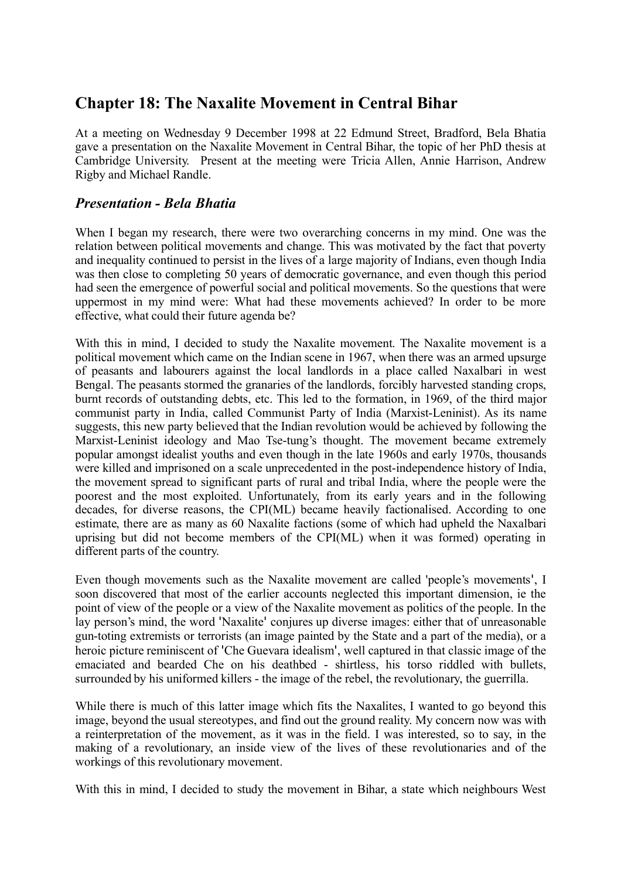# **Chapter 18: The Naxalite Movement in Central Bihar**

At a meeting on Wednesday 9 December 1998 at 22 Edmund Street, Bradford, Bela Bhatia gave a presentation on the Naxalite Movement in Central Bihar, the topic of her PhD thesis at Cambridge University. Present at the meeting were Tricia Allen, Annie Harrison, Andrew Rigby and Michael Randle.

## *Presentation - Bela Bhatia*

When I began my research, there were two overarching concerns in my mind. One was the relation between political movements and change. This was motivated by the fact that poverty and inequality continued to persist in the lives of a large majority of Indians, even though India was then close to completing 50 years of democratic governance, and even though this period had seen the emergence of powerful social and political movements. So the questions that were uppermost in my mind were: What had these movements achieved? In order to be more effective, what could their future agenda be?

With this in mind, I decided to study the Naxalite movement. The Naxalite movement is a political movement which came on the Indian scene in 1967, when there was an armed upsurge of peasants and labourers against the local landlords in a place called Naxalbari in west Bengal. The peasants stormed the granaries of the landlords, forcibly harvested standing crops, burnt records of outstanding debts, etc. This led to the formation, in 1969, of the third major communist party in India, called Communist Party of India (Marxist-Leninist). As its name suggests, this new party believed that the Indian revolution would be achieved by following the Marxist-Leninist ideology and Mao Tse-tung's thought. The movement became extremely popular amongst idealist youths and even though in the late 1960s and early 1970s, thousands were killed and imprisoned on a scale unprecedented in the post-independence history of India, the movement spread to significant parts of rural and tribal India, where the people were the poorest and the most exploited. Unfortunately, from its early years and in the following decades, for diverse reasons, the CPI(ML) became heavily factionalised. According to one estimate, there are as many as 60 Naxalite factions (some of which had upheld the Naxalbari uprising but did not become members of the CPI(ML) when it was formed) operating in different parts of the country.

Even though movements such as the Naxalite movement are called 'people's movements', I soon discovered that most of the earlier accounts neglected this important dimension, ie the point of view of the people or a view of the Naxalite movement as politics of the people. In the lay person's mind, the word 'Naxalite' conjures up diverse images: either that of unreasonable gun-toting extremists or terrorists (an image painted by the State and a part of the media), or a heroic picture reminiscent of 'Che Guevara idealism', well captured in that classic image of the emaciated and bearded Che on his deathbed - shirtless, his torso riddled with bullets, surrounded by his uniformed killers - the image of the rebel, the revolutionary, the guerrilla.

While there is much of this latter image which fits the Naxalites, I wanted to go beyond this image, beyond the usual stereotypes, and find out the ground reality. My concern now was with a reinterpretation of the movement, as it was in the field. I was interested, so to say, in the making of a revolutionary, an inside view of the lives of these revolutionaries and of the workings of this revolutionary movement.

With this in mind, I decided to study the movement in Bihar, a state which neighbours West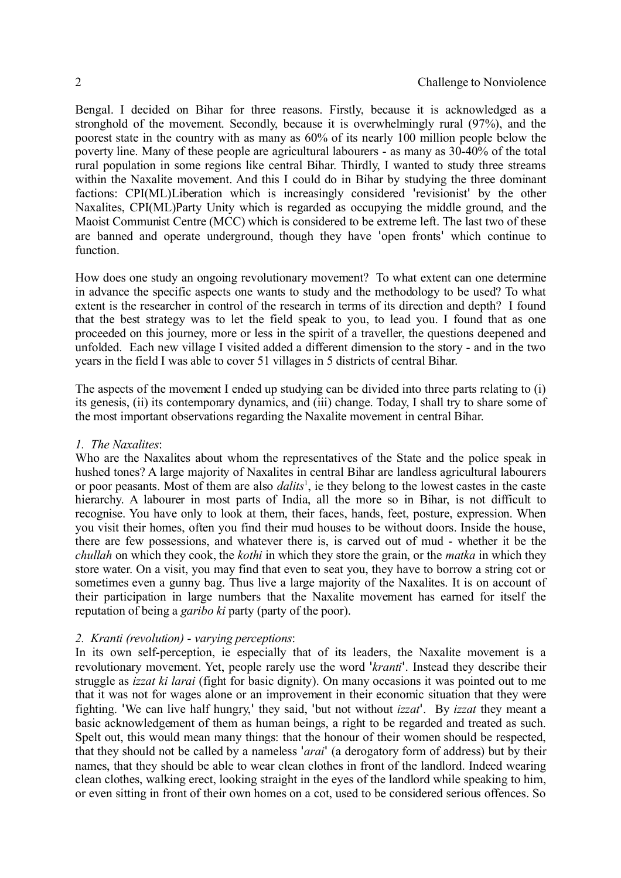Bengal. I decided on Bihar for three reasons. Firstly, because it is acknowledged as a stronghold of the movement. Secondly, because it is overwhelmingly rural (97%), and the poorest state in the country with as many as 60% of its nearly 100 million people below the poverty line. Many of these people are agricultural labourers - as many as 30-40% of the total rural population in some regions like central Bihar. Thirdly, I wanted to study three streams within the Naxalite movement. And this I could do in Bihar by studying the three dominant factions: CPI(ML)Liberation which is increasingly considered 'revisionist' by the other Naxalites, CPI(ML)Party Unity which is regarded as occupying the middle ground, and the Maoist Communist Centre (MCC) which is considered to be extreme left. The last two of these are banned and operate underground, though they have 'open fronts' which continue to function.

How does one study an ongoing revolutionary movement? To what extent can one determine in advance the specific aspects one wants to study and the methodology to be used? To what extent is the researcher in control of the research in terms of its direction and depth? I found that the best strategy was to let the field speak to you, to lead you. I found that as one proceeded on this journey, more or less in the spirit of a traveller, the questions deepened and unfolded. Each new village I visited added a different dimension to the story - and in the two years in the field I was able to cover 51 villages in 5 districts of central Bihar.

The aspects of the movement I ended up studying can be divided into three parts relating to (i) its genesis, (ii) its contemporary dynamics, and (iii) change. Today, I shall try to share some of the most important observations regarding the Naxalite movement in central Bihar.

#### *1. The Naxalites*:

Who are the Naxalites about whom the representatives of the State and the police speak in hushed tones? A large majority of Naxalites in central Bihar are landless agricultural labourers or poor peasants. Most of them are also *dalits*[1](#page-13-0) , ie they belong to the lowest castes in the caste hierarchy. A labourer in most parts of India, all the more so in Bihar, is not difficult to recognise. You have only to look at them, their faces, hands, feet, posture, expression. When you visit their homes, often you find their mud houses to be without doors. Inside the house, there are few possessions, and whatever there is, is carved out of mud - whether it be the *chullah* on which they cook, the *kothi* in which they store the grain, or the *matka* in which they store water. On a visit, you may find that even to seat you, they have to borrow a string cot or sometimes even a gunny bag. Thus live a large majority of the Naxalites. It is on account of their participation in large numbers that the Naxalite movement has earned for itself the reputation of being a *garibo ki* party (party of the poor).

#### *2. Kranti (revolution) - varying perceptions*:

In its own self-perception, ie especially that of its leaders, the Naxalite movement is a revolutionary movement. Yet, people rarely use the word '*kranti*'. Instead they describe their struggle as *izzat ki larai* (fight for basic dignity). On many occasions it was pointed out to me that it was not for wages alone or an improvement in their economic situation that they were fighting. 'We can live half hungry,' they said, 'but not without *izzat*'. By *izzat* they meant a basic acknowledgement of them as human beings, a right to be regarded and treated as such. Spelt out, this would mean many things: that the honour of their women should be respected. that they should not be called by a nameless '*arai*' (a derogatory form of address) but by their names, that they should be able to wear clean clothes in front of the landlord. Indeed wearing clean clothes, walking erect, looking straight in the eyes of the landlord while speaking to him, or even sitting in front of their own homes on a cot, used to be considered serious offences. So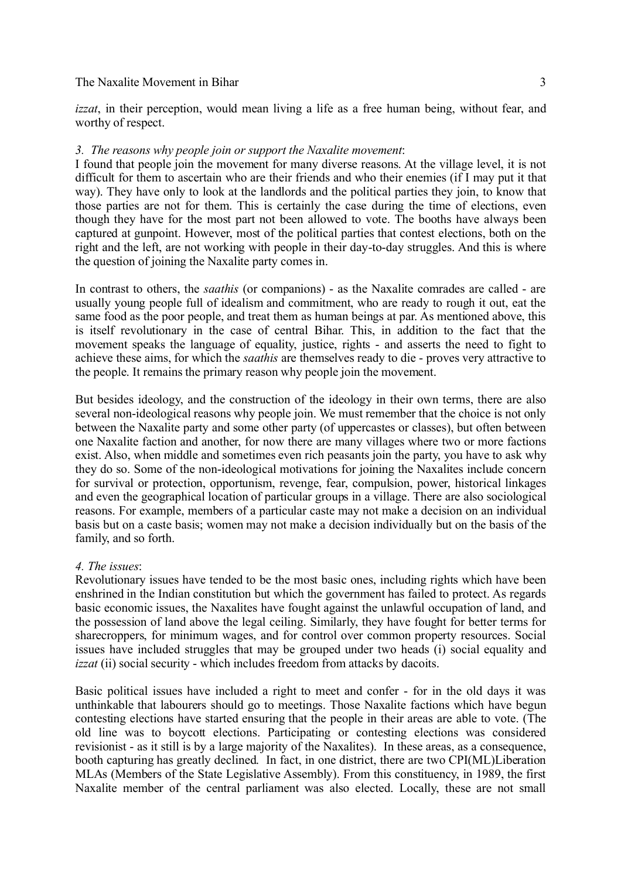*izzat*, in their perception, would mean living a life as a free human being, without fear, and worthy of respect.

#### *3. The reasons why people join or support the Naxalite movement*:

I found that people join the movement for many diverse reasons. At the village level, it is not difficult for them to ascertain who are their friends and who their enemies (if I may put it that way). They have only to look at the landlords and the political parties they join, to know that those parties are not for them. This is certainly the case during the time of elections, even though they have for the most part not been allowed to vote. The booths have always been captured at gunpoint. However, most of the political parties that contest elections, both on the right and the left, are not working with people in their day-to-day struggles. And this is where the question of joining the Naxalite party comes in.

In contrast to others, the *saathis* (or companions) - as the Naxalite comrades are called - are usually young people full of idealism and commitment, who are ready to rough it out, eat the same food as the poor people, and treat them as human beings at par. As mentioned above, this is itself revolutionary in the case of central Bihar. This, in addition to the fact that the movement speaks the language of equality, justice, rights - and asserts the need to fight to achieve these aims, for which the *saathis* are themselves ready to die - proves very attractive to the people. It remains the primary reason why people join the movement.

But besides ideology, and the construction of the ideology in their own terms, there are also several non-ideological reasons why people join. We must remember that the choice is not only between the Naxalite party and some other party (of uppercastes or classes), but often between one Naxalite faction and another, for now there are many villages where two or more factions exist. Also, when middle and sometimes even rich peasants join the party, you have to ask why they do so. Some of the non-ideological motivations for joining the Naxalites include concern for survival or protection, opportunism, revenge, fear, compulsion, power, historical linkages and even the geographical location of particular groups in a village. There are also sociological reasons. For example, members of a particular caste may not make a decision on an individual basis but on a caste basis; women may not make a decision individually but on the basis of the family, and so forth.

## *4. The issues*:

Revolutionary issues have tended to be the most basic ones, including rights which have been enshrined in the Indian constitution but which the government has failed to protect. As regards basic economic issues, the Naxalites have fought against the unlawful occupation of land, and the possession of land above the legal ceiling. Similarly, they have fought for better terms for sharecroppers, for minimum wages, and for control over common property resources. Social issues have included struggles that may be grouped under two heads (i) social equality and *izzat* (ii) social security - which includes freedom from attacks by dacoits.

Basic political issues have included a right to meet and confer - for in the old days it was unthinkable that labourers should go to meetings. Those Naxalite factions which have begun contesting elections have started ensuring that the people in their areas are able to vote. (The old line was to boycott elections. Participating or contesting elections was considered revisionist - as it still is by a large majority of the Naxalites). In these areas, as a consequence, booth capturing has greatly declined. In fact, in one district, there are two CPI(ML)Liberation MLAs (Members of the State Legislative Assembly). From this constituency, in 1989, the first Naxalite member of the central parliament was also elected. Locally, these are not small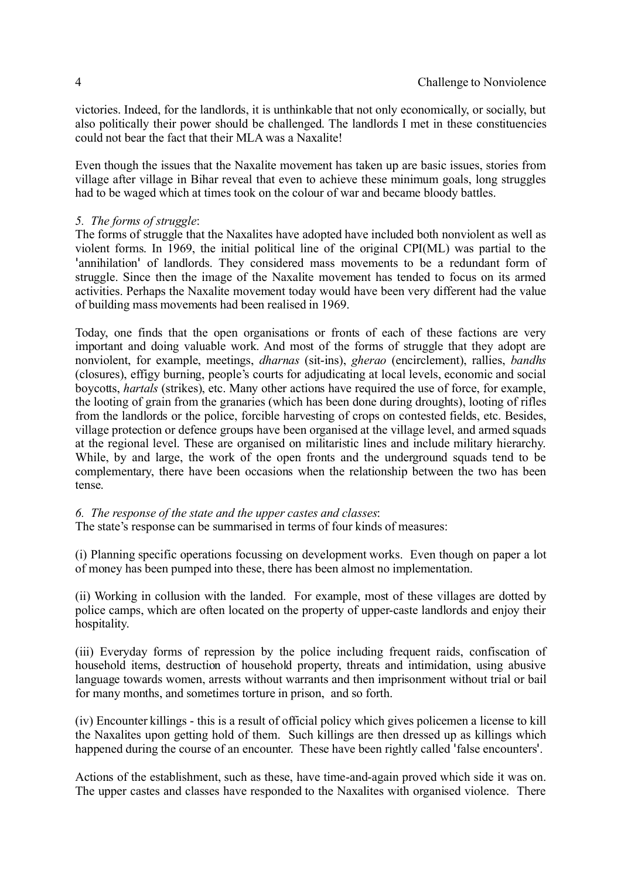victories. Indeed, for the landlords, it is unthinkable that not only economically, or socially, but also politically their power should be challenged. The landlords I met in these constituencies could not bear the fact that their MLA was a Naxalite!

Even though the issues that the Naxalite movement has taken up are basic issues, stories from village after village in Bihar reveal that even to achieve these minimum goals, long struggles had to be waged which at times took on the colour of war and became bloody battles.

## *5. The forms of struggle*:

The forms of struggle that the Naxalites have adopted have included both nonviolent as well as violent forms. In 1969, the initial political line of the original CPI(ML) was partial to the 'annihilation' of landlords. They considered mass movements to be a redundant form of struggle. Since then the image of the Naxalite movement has tended to focus on its armed activities. Perhaps the Naxalite movement today would have been very different had the value of building mass movements had been realised in 1969.

Today, one finds that the open organisations or fronts of each of these factions are very important and doing valuable work. And most of the forms of struggle that they adopt are nonviolent, for example, meetings, *dharnas* (sit-ins), *gherao* (encirclement), rallies, *bandhs* (closures), effigy burning, people's courts for adjudicating at local levels, economic and social boycotts, *hartals* (strikes), etc. Many other actions have required the use of force, for example, the looting of grain from the granaries (which has been done during droughts), looting of rifles from the landlords or the police, forcible harvesting of crops on contested fields, etc. Besides, village protection or defence groups have been organised at the village level, and armed squads at the regional level. These are organised on militaristic lines and include military hierarchy. While, by and large, the work of the open fronts and the underground squads tend to be complementary, there have been occasions when the relationship between the two has been tense.

## *6. The response of the state and the upper castes and classes*:

The state's response can be summarised in terms of four kinds of measures:

(i) Planning specific operations focussing on development works. Even though on paper a lot of money has been pumped into these, there has been almost no implementation.

(ii) Working in collusion with the landed. For example, most of these villages are dotted by police camps, which are often located on the property of upper-caste landlords and enjoy their hospitality.

(iii) Everyday forms of repression by the police including frequent raids, confiscation of household items, destruction of household property, threats and intimidation, using abusive language towards women, arrests without warrants and then imprisonment without trial or bail for many months, and sometimes torture in prison, and so forth.

(iv) Encounter killings - this is a result of official policy which gives policemen a license to kill the Naxalites upon getting hold of them. Such killings are then dressed up as killings which happened during the course of an encounter. These have been rightly called 'false encounters'.

Actions of the establishment, such as these, have time-and-again proved which side it was on. The upper castes and classes have responded to the Naxalites with organised violence. There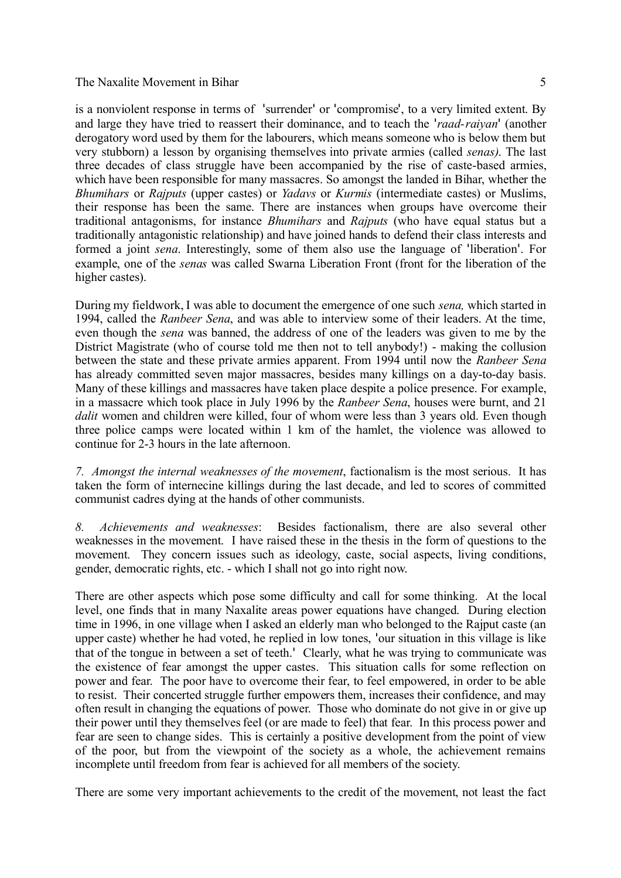is a nonviolent response in terms of 'surrender' or 'compromise', to a very limited extent. By and large they have tried to reassert their dominance, and to teach the '*raad-raiyan*' (another derogatory word used by them for the labourers, which means someone who is below them but very stubborn) a lesson by organising themselves into private armies (called *senas)*. The last three decades of class struggle have been accompanied by the rise of caste-based armies, which have been responsible for many massacres. So amongst the landed in Bihar, whether the *Bhumihars* or *Rajputs* (upper castes) or *Yadavs* or *Kurmis* (intermediate castes) or Muslims, their response has been the same. There are instances when groups have overcome their traditional antagonisms, for instance *Bhumihars* and *Rajputs* (who have equal status but a traditionally antagonistic relationship) and have joined hands to defend their class interests and formed a joint *sena*. Interestingly, some of them also use the language of 'liberation'. For example, one of the *senas* was called Swarna Liberation Front (front for the liberation of the higher castes).

During my fieldwork, I was able to document the emergence of one such *sena,* which started in 1994, called the *Ranbeer Sena*, and was able to interview some of their leaders. At the time, even though the *sena* was banned, the address of one of the leaders was given to me by the District Magistrate (who of course told me then not to tell anybody!) - making the collusion between the state and these private armies apparent. From 1994 until now the *Ranbeer Sena* has already committed seven major massacres, besides many killings on a day-to-day basis. Many of these killings and massacres have taken place despite a police presence. For example, in a massacre which took place in July 1996 by the *Ranbeer Sena*, houses were burnt, and 21 *dalit* women and children were killed, four of whom were less than 3 years old. Even though three police camps were located within 1 km of the hamlet, the violence was allowed to continue for 2-3 hours in the late afternoon.

*7. Amongst the internal weaknesses of the movement*, factionalism is the most serious. It has taken the form of internecine killings during the last decade, and led to scores of committed communist cadres dying at the hands of other communists.

*8. Achievements and weaknesses*: Besides factionalism, there are also several other weaknesses in the movement. I have raised these in the thesis in the form of questions to the movement. They concern issues such as ideology, caste, social aspects, living conditions, gender, democratic rights, etc. - which I shall not go into right now.

There are other aspects which pose some difficulty and call for some thinking. At the local level, one finds that in many Naxalite areas power equations have changed. During election time in 1996, in one village when I asked an elderly man who belonged to the Rajput caste (an upper caste) whether he had voted, he replied in low tones, 'our situation in this village is like that of the tongue in between a set of teeth.' Clearly, what he was trying to communicate was the existence of fear amongst the upper castes. This situation calls for some reflection on power and fear. The poor have to overcome their fear, to feel empowered, in order to be able to resist. Their concerted struggle further empowers them, increases their confidence, and may often result in changing the equations of power. Those who dominate do not give in or give up their power until they themselvesfeel (or are made to feel) that fear. In this process power and fear are seen to change sides. This is certainly a positive development from the point of view of the poor, but from the viewpoint of the society as a whole, the achievement remains incomplete until freedom from fear is achieved for all members of the society.

There are some very important achievements to the credit of the movement, not least the fact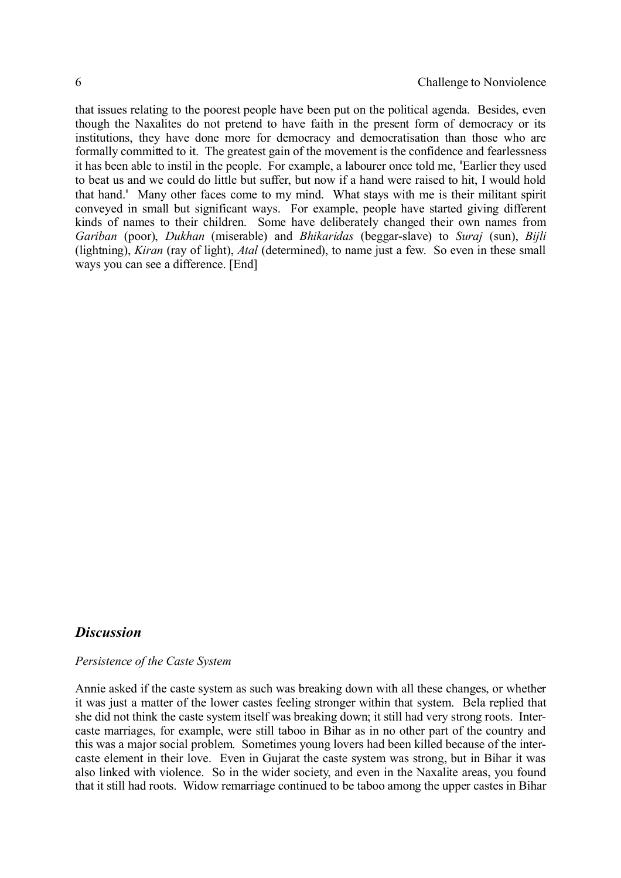that issues relating to the poorest people have been put on the political agenda. Besides, even though the Naxalites do not pretend to have faith in the present form of democracy or its institutions, they have done more for democracy and democratisation than those who are formally committed to it. The greatest gain of the movement is the confidence and fearlessness it has been able to instil in the people. For example, a labourer once told me, 'Earlier they used to beat us and we could do little but suffer, but now if a hand were raised to hit, I would hold that hand.' Many other faces come to my mind. What stays with me is their militant spirit conveyed in small but significant ways. For example, people have started giving different kinds of names to their children. Some have deliberately changed their own names from *Gariban* (poor), *Dukhan* (miserable) and *Bhikaridas* (beggar-slave) to *Suraj* (sun), *Bijli* (lightning), *Kiran* (ray of light), *Atal* (determined), to name just a few. So even in these small ways you can see a difference. [End]

## *Discussion*

#### *Persistence of the Caste System*

Annie asked if the caste system as such was breaking down with all these changes, or whether it was just a matter of the lower castes feeling stronger within that system. Bela replied that she did not think the caste system itself was breaking down; it still had very strong roots. Intercaste marriages, for example, were still taboo in Bihar as in no other part of the country and this was a major social problem. Sometimes young lovers had been killed because of the intercaste element in their love. Even in Gujarat the caste system was strong, but in Bihar it was also linked with violence. So in the wider society, and even in the Naxalite areas, you found that it still had roots. Widow remarriage continued to be taboo among the upper castes in Bihar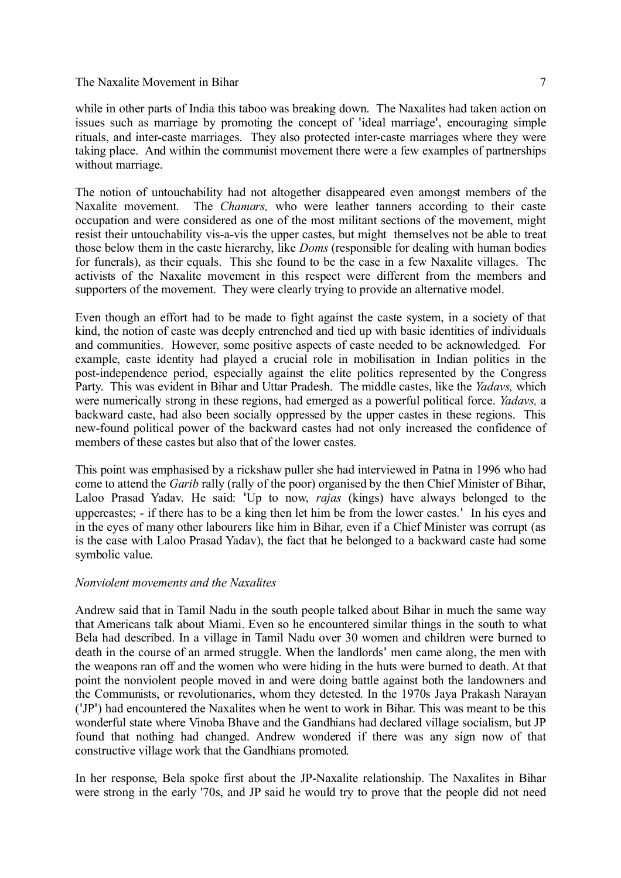while in other parts of India this taboo was breaking down. The Naxalites had taken action on issues such as marriage by promoting the concept of 'ideal marriage', encouraging simple rituals, and inter-caste marriages. They also protected inter-caste marriages where they were taking place. And within the communist movement there were a few examples of partnerships without marriage.

The notion of untouchability had not altogether disappeared even amongst members of the Naxalite movement. The *Chamars,* who were leather tanners according to their caste occupation and were considered as one of the most militant sections of the movement, might resist their untouchability vis-a-vis the upper castes, but might themselves not be able to treat those below them in the caste hierarchy, like *Doms* (responsible for dealing with human bodies for funerals), as their equals. This she found to be the case in a few Naxalite villages. The activists of the Naxalite movement in this respect were different from the members and supporters of the movement. They were clearly trying to provide an alternative model.

Even though an effort had to be made to fight against the caste system, in a society of that kind, the notion of caste was deeply entrenched and tied up with basic identities of individuals and communities. However, some positive aspects of caste needed to be acknowledged. For example, caste identity had played a crucial role in mobilisation in Indian politics in the post-independence period, especially against the elite politics represented by the Congress Party. This was evident in Bihar and Uttar Pradesh. The middle castes, like the *Yadavs,* which were numerically strong in these regions, had emerged as a powerful political force. *Yadavs,* a backward caste, had also been socially oppressed by the upper castes in these regions. This new-found political power of the backward castes had not only increased the confidence of members of these castes but also that of the lower castes.

This point was emphasised by a rickshaw puller she had interviewed in Patna in 1996 who had come to attend the *Garib* rally (rally of the poor) organised by the then Chief Minister of Bihar, Laloo Prasad Yadav. He said: 'Up to now, *rajas* (kings) have always belonged to the uppercastes; - if there has to be a king then let him be from the lower castes.' In his eyes and in the eyes of many other labourers like him in Bihar, even if a Chief Minister was corrupt (as is the case with Laloo Prasad Yadav), the fact that he belonged to a backward caste had some symbolic value.

#### *Nonviolent movements and the Naxalites*

Andrew said that in Tamil Nadu in the south people talked about Bihar in much the same way that Americans talk about Miami. Even so he encountered similar things in the south to what Bela had described. In a village in Tamil Nadu over 30 women and children were burned to death in the course of an armed struggle. When the landlords' men came along, the men with the weapons ran off and the women who were hiding in the huts were burned to death. At that point the nonviolent people moved in and were doing battle against both the landowners and the Communists, or revolutionaries, whom they detested. In the 1970s Jaya Prakash Narayan ('JP') had encountered the Naxalites when he went to work in Bihar. This was meant to be this wonderful state where Vinoba Bhave and the Gandhians had declared village socialism, but JP found that nothing had changed. Andrew wondered if there was any sign now of that constructive village work that the Gandhians promoted.

In her response, Bela spoke first about the JP-Naxalite relationship. The Naxalites in Bihar were strong in the early '70s, and JP said he would try to prove that the people did not need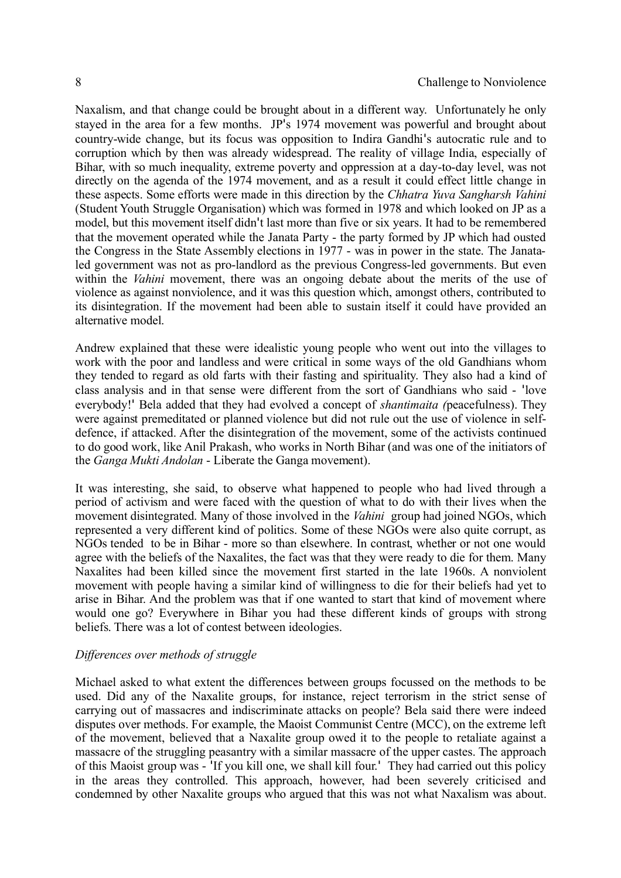Naxalism, and that change could be brought about in a different way. Unfortunately he only stayed in the area for a few months. JP's 1974 movement was powerful and brought about country-wide change, but its focus was opposition to Indira Gandhi's autocratic rule and to corruption which by then was already widespread. The reality of village India, especially of Bihar, with so much inequality, extreme poverty and oppression at a day-to-day level, was not directly on the agenda of the 1974 movement, and as a result it could effect little change in these aspects. Some efforts were made in this direction by the *Chhatra Yuva Sangharsh Vahini* (Student Youth Struggle Organisation) which was formed in 1978 and which looked on JP as a model, but this movement itself didn't last more than five or six years. It had to be remembered that the movement operated while the Janata Party - the party formed by JP which had ousted the Congress in the State Assembly elections in 1977 - was in power in the state. The Janataled government was not as pro-landlord as the previous Congress-led governments. But even within the *Vahini* movement, there was an ongoing debate about the merits of the use of violence as against nonviolence, and it was this question which, amongst others, contributed to its disintegration. If the movement had been able to sustain itself it could have provided an alternative model.

Andrew explained that these were idealistic young people who went out into the villages to work with the poor and landless and were critical in some ways of the old Gandhians whom they tended to regard as old farts with their fasting and spirituality. They also had a kind of class analysis and in that sense were different from the sort of Gandhians who said - 'love everybody!' Bela added that they had evolved a concept of *shantimaita (*peacefulness). They were against premeditated or planned violence but did not rule out the use of violence in selfdefence, if attacked. After the disintegration of the movement, some of the activists continued to do good work, like Anil Prakash, who works in North Bihar (and was one of the initiators of the *Ganga Mukti Andolan* - Liberate the Ganga movement).

It was interesting, she said, to observe what happened to people who had lived through a period of activism and were faced with the question of what to do with their lives when the movement disintegrated. Many of those involved in the *Vahini* group had joined NGOs, which represented a very different kind of politics. Some of these NGOs were also quite corrupt, as NGOs tended to be in Bihar - more so than elsewhere. In contrast, whether or not one would agree with the beliefs of the Naxalites, the fact was that they were ready to die for them. Many Naxalites had been killed since the movement first started in the late 1960s. A nonviolent movement with people having a similar kind of willingness to die for their beliefs had yet to arise in Bihar. And the problem was that if one wanted to start that kind of movement where would one go? Everywhere in Bihar you had these different kinds of groups with strong beliefs. There was a lot of contest between ideologies.

## *Differences over methods of struggle*

Michael asked to what extent the differences between groups focussed on the methods to be used. Did any of the Naxalite groups, for instance, reject terrorism in the strict sense of carrying out of massacres and indiscriminate attacks on people? Bela said there were indeed disputes over methods. For example, the Maoist Communist Centre (MCC), on the extreme left of the movement, believed that a Naxalite group owed it to the people to retaliate against a massacre of the struggling peasantry with a similar massacre of the upper castes. The approach of this Maoist group was - 'If you kill one, we shall kill four.' They had carried out this policy in the areas they controlled. This approach, however, had been severely criticised and condemned by other Naxalite groups who argued that this was not what Naxalism was about.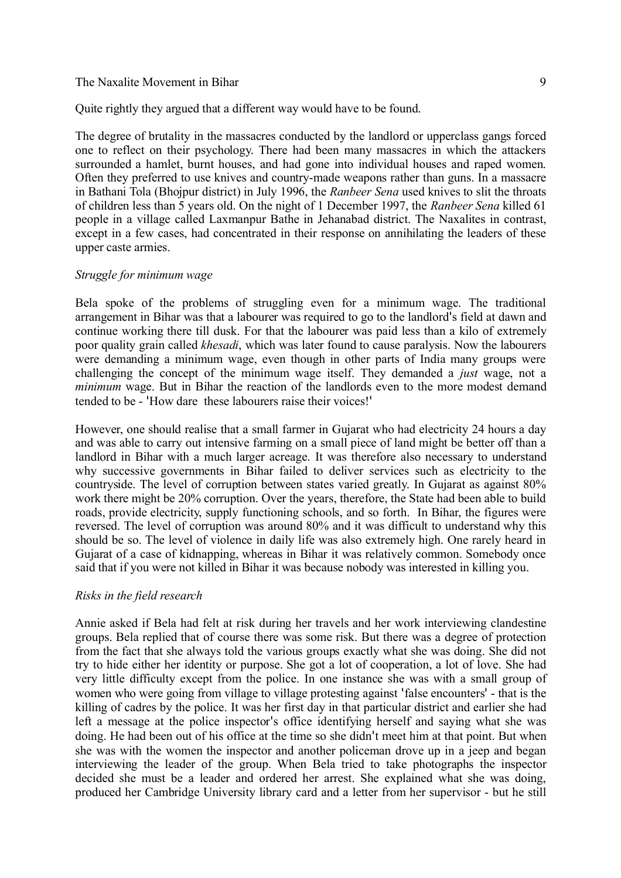Quite rightly they argued that a different way would have to be found.

The degree of brutality in the massacres conducted by the landlord or upperclass gangs forced one to reflect on their psychology. There had been many massacres in which the attackers surrounded a hamlet, burnt houses, and had gone into individual houses and raped women. Often they preferred to use knives and country-made weapons rather than guns. In a massacre in Bathani Tola (Bhojpur district) in July 1996, the *Ranbeer Sena* used knives to slit the throats of children less than 5 years old. On the night of 1 December 1997, the *Ranbeer Sena* killed 61 people in a village called Laxmanpur Bathe in Jehanabad district. The Naxalites in contrast, except in a few cases, had concentrated in their response on annihilating the leaders of these upper caste armies.

#### *Struggle for minimum wage*

Bela spoke of the problems of struggling even for a minimum wage. The traditional arrangement in Bihar was that a labourer was required to go to the landlord's field at dawn and continue working there till dusk. For that the labourer was paid less than a kilo of extremely poor quality grain called *khesadi*, which was later found to cause paralysis. Now the labourers were demanding a minimum wage, even though in other parts of India many groups were challenging the concept of the minimum wage itself. They demanded a *just* wage, not a *minimum* wage. But in Bihar the reaction of the landlords even to the more modest demand tended to be - 'How dare these labourers raise their voices!'

However, one should realise that a small farmer in Gujarat who had electricity 24 hours a day and was able to carry out intensive farming on a small piece of land might be better off than a landlord in Bihar with a much larger acreage. It was therefore also necessary to understand why successive governments in Bihar failed to deliver services such as electricity to the countryside. The level of corruption between states varied greatly. In Gujarat as against 80% work there might be 20% corruption. Over the years, therefore, the State had been able to build roads, provide electricity, supply functioning schools, and so forth. In Bihar, the figures were reversed. The level of corruption was around 80% and it was difficult to understand why this should be so. The level of violence in daily life was also extremely high. One rarely heard in Gujarat of a case of kidnapping, whereas in Bihar it was relatively common. Somebody once said that if you were not killed in Bihar it was because nobody was interested in killing you.

#### *Risks in the field research*

Annie asked if Bela had felt at risk during her travels and her work interviewing clandestine groups. Bela replied that of course there was some risk. But there was a degree of protection from the fact that she always told the various groups exactly what she was doing. She did not try to hide either her identity or purpose. She got a lot of cooperation, a lot of love. She had very little difficulty except from the police. In one instance she was with a small group of women who were going from village to village protesting against 'false encounters' - that is the killing of cadres by the police. It was her first day in that particular district and earlier she had left a message at the police inspector's office identifying herself and saying what she was doing. He had been out of his office at the time so she didn't meet him at that point. But when she was with the women the inspector and another policeman drove up in a jeep and began interviewing the leader of the group. When Bela tried to take photographs the inspector decided she must be a leader and ordered her arrest. She explained what she was doing, produced her Cambridge University library card and a letter from her supervisor - but he still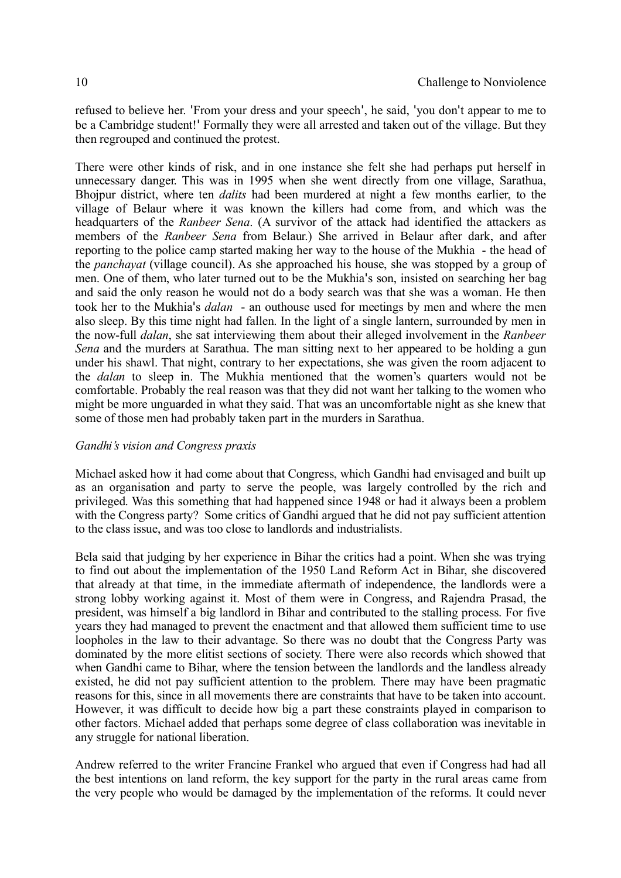refused to believe her. 'From your dress and your speech', he said, 'you don't appear to me to be a Cambridge student!' Formally they were all arrested and taken out of the village. But they then regrouped and continued the protest.

There were other kinds of risk, and in one instance she felt she had perhaps put herself in unnecessary danger. This was in 1995 when she went directly from one village, Sarathua, Bhojpur district, where ten *dalits* had been murdered at night a few months earlier, to the village of Belaur where it was known the killers had come from, and which was the headquarters of the *Ranbeer Sena*. (A survivor of the attack had identified the attackers as members of the *Ranbeer Sena* from Belaur.) She arrived in Belaur after dark, and after reporting to the police camp started making her way to the house of the Mukhia - the head of the *panchayat* (village council). As she approached his house, she was stopped by a group of men. One of them, who later turned out to be the Mukhia's son, insisted on searching her bag and said the only reason he would not do a body search was that she was a woman. He then took her to the Mukhia's *dalan* - an outhouse used for meetings by men and where the men also sleep. By this time night had fallen. In the light of a single lantern, surrounded by men in the now-full *dalan*, she sat interviewing them about their alleged involvement in the *Ranbeer Sena* and the murders at Sarathua. The man sitting next to her appeared to be holding a gun under his shawl. That night, contrary to her expectations, she was given the room adjacent to the *dalan* to sleep in. The Mukhia mentioned that the women's quarters would not be comfortable. Probably the real reason was that they did not want her talking to the women who might be more unguarded in what they said. That was an uncomfortable night as she knew that some of those men had probably taken part in the murders in Sarathua.

## *Gandhi's vision and Congress praxis*

Michael asked how it had come about that Congress, which Gandhi had envisaged and built up as an organisation and party to serve the people, was largely controlled by the rich and privileged. Was this something that had happened since 1948 or had it always been a problem with the Congress party? Some critics of Gandhi argued that he did not pay sufficient attention to the class issue, and was too close to landlords and industrialists.

Bela said that judging by her experience in Bihar the critics had a point. When she was trying to find out about the implementation of the 1950 Land Reform Act in Bihar, she discovered that already at that time, in the immediate aftermath of independence, the landlords were a strong lobby working against it. Most of them were in Congress, and Rajendra Prasad, the president, was himself a big landlord in Bihar and contributed to the stalling process. For five years they had managed to prevent the enactment and that allowed them sufficient time to use loopholes in the law to their advantage. So there was no doubt that the Congress Party was dominated by the more elitist sections of society. There were also records which showed that when Gandhi came to Bihar, where the tension between the landlords and the landless already existed, he did not pay sufficient attention to the problem. There may have been pragmatic reasons for this, since in all movements there are constraints that have to be taken into account. However, it was difficult to decide how big a part these constraints played in comparison to other factors. Michael added that perhaps some degree of class collaboration was inevitable in any struggle for national liberation.

Andrew referred to the writer Francine Frankel who argued that even if Congress had had all the best intentions on land reform, the key support for the party in the rural areas came from the very people who would be damaged by the implementation of the reforms. It could never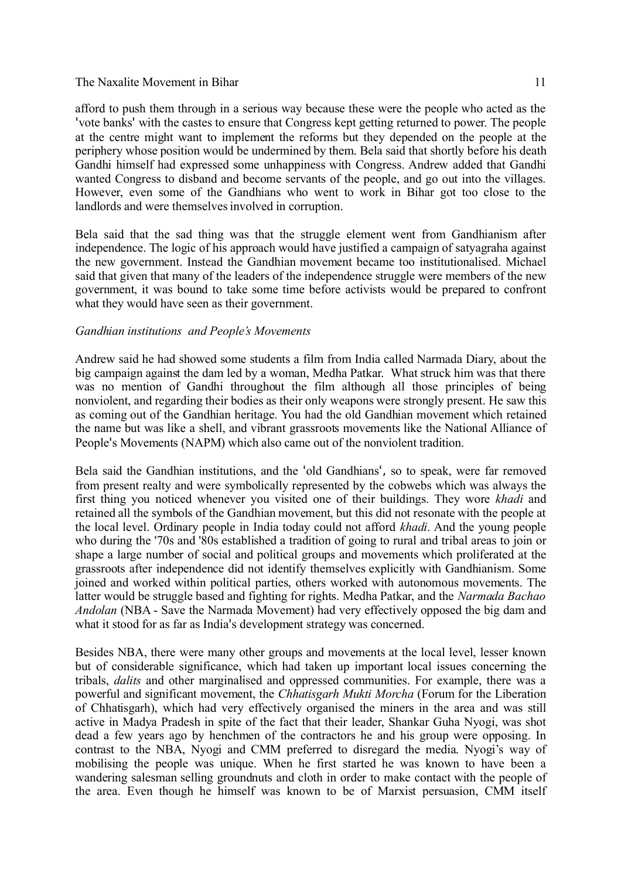afford to push them through in a serious way because these were the people who acted as the 'vote banks' with the castes to ensure that Congress kept getting returned to power. The people at the centre might want to implement the reforms but they depended on the people at the periphery whose position would be undermined by them. Bela said that shortly before his death Gandhi himself had expressed some unhappiness with Congress. Andrew added that Gandhi wanted Congress to disband and become servants of the people, and go out into the villages. However, even some of the Gandhians who went to work in Bihar got too close to the landlords and were themselves involved in corruption.

Bela said that the sad thing was that the struggle element went from Gandhianism after independence. The logic of his approach would have justified a campaign of satyagraha against the new government. Instead the Gandhian movement became too institutionalised. Michael said that given that many of the leaders of the independence struggle were members of the new government, it was bound to take some time before activists would be prepared to confront what they would have seen as their government.

#### *Gandhian institutions and People's Movements*

Andrew said he had showed some students a film from India called Narmada Diary, about the big campaign against the dam led by a woman, Medha Patkar. What struck him was that there was no mention of Gandhi throughout the film although all those principles of being nonviolent, and regarding their bodies as their only weapons were strongly present. He saw this as coming out of the Gandhian heritage. You had the old Gandhian movement which retained the name but was like a shell, and vibrant grassroots movements like the National Alliance of People's Movements (NAPM) which also came out of the nonviolent tradition.

Bela said the Gandhian institutions, and the 'old Gandhians', so to speak, were far removed from present realty and were symbolically represented by the cobwebs which was always the first thing you noticed whenever you visited one of their buildings. They wore *khadi* and retained all the symbols of the Gandhian movement, but this did not resonate with the people at the local level. Ordinary people in India today could not afford *khadi*. And the young people who during the '70s and '80s established a tradition of going to rural and tribal areas to join or shape a large number of social and political groups and movements which proliferated at the grassroots after independence did not identify themselves explicitly with Gandhianism. Some joined and worked within political parties, others worked with autonomous movements. The latter would be struggle based and fighting for rights. Medha Patkar, and the *Narmada Bachao Andolan* (NBA - Save the Narmada Movement) had very effectively opposed the big dam and what it stood for as far as India's development strategy was concerned.

Besides NBA, there were many other groups and movements at the local level, lesser known but of considerable significance, which had taken up important local issues concerning the tribals, *dalits* and other marginalised and oppressed communities. For example, there was a powerful and significant movement, the *Chhatisgarh Mukti Morcha* (Forum for the Liberation of Chhatisgarh), which had very effectively organised the miners in the area and was still active in Madya Pradesh in spite of the fact that their leader, Shankar Guha Nyogi, was shot dead a few years ago by henchmen of the contractors he and his group were opposing. In contrast to the NBA, Nyogi and CMM preferred to disregard the media. Nyogi's way of mobilising the people was unique. When he first started he was known to have been a wandering salesman selling groundnuts and cloth in order to make contact with the people of the area. Even though he himself was known to be of Marxist persuasion, CMM itself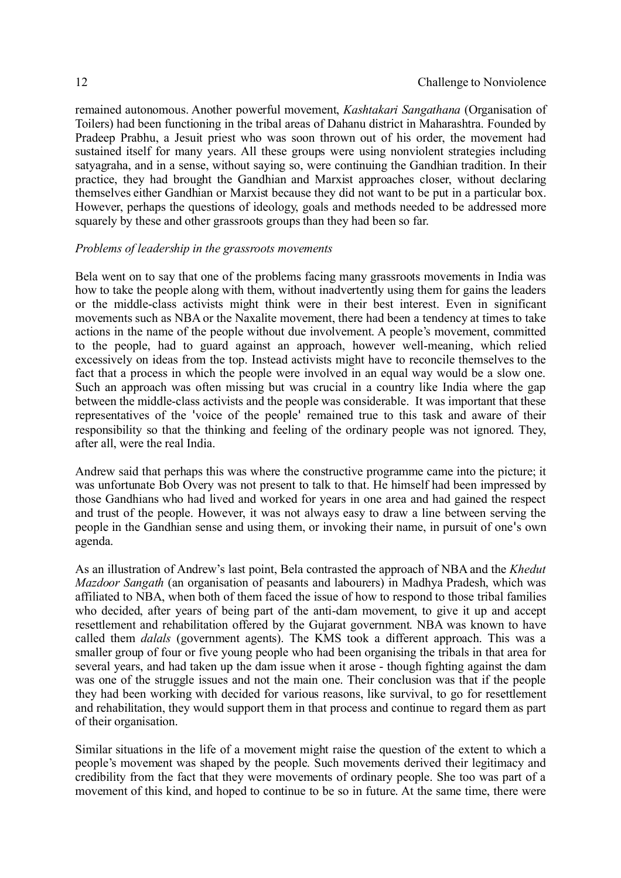remained autonomous. Another powerful movement, *Kashtakari Sangathana* (Organisation of Toilers) had been functioning in the tribal areas of Dahanu district in Maharashtra. Founded by Pradeep Prabhu, a Jesuit priest who was soon thrown out of his order, the movement had sustained itself for many years. All these groups were using nonviolent strategies including satyagraha, and in a sense, without saying so, were continuing the Gandhian tradition. In their practice, they had brought the Gandhian and Marxist approaches closer, without declaring themselves either Gandhian or Marxist because they did not want to be put in a particular box. However, perhaps the questions of ideology, goals and methods needed to be addressed more squarely by these and other grassroots groups than they had been so far.

#### *Problems of leadership in the grassroots movements*

Bela went on to say that one of the problems facing many grassroots movements in India was how to take the people along with them, without inadvertently using them for gains the leaders or the middle-class activists might think were in their best interest. Even in significant movements such as NBA or the Naxalite movement, there had been a tendency at times to take actions in the name of the people without due involvement. A people's movement, committed to the people, had to guard against an approach, however well-meaning, which relied excessively on ideas from the top. Instead activists might have to reconcile themselves to the fact that a process in which the people were involved in an equal way would be a slow one. Such an approach was often missing but was crucial in a country like India where the gap between the middle-class activists and the people was considerable. It was important that these representatives of the 'voice of the people' remained true to this task and aware of their responsibility so that the thinking and feeling of the ordinary people was not ignored. They, after all, were the real India.

Andrew said that perhaps this was where the constructive programme came into the picture; it was unfortunate Bob Overy was not present to talk to that. He himself had been impressed by those Gandhians who had lived and worked for years in one area and had gained the respect and trust of the people. However, it was not always easy to draw a line between serving the people in the Gandhian sense and using them, or invoking their name, in pursuit of one's own agenda.

As an illustration of Andrew's last point, Bela contrasted the approach of NBA and the *Khedut Mazdoor Sangath* (an organisation of peasants and labourers) in Madhya Pradesh, which was affiliated to NBA, when both of them faced the issue of how to respond to those tribal families who decided, after years of being part of the anti-dam movement, to give it up and accept resettlement and rehabilitation offered by the Gujarat government. NBA was known to have called them *dalals* (government agents). The KMS took a different approach. This was a smaller group of four or five young people who had been organising the tribals in that area for several years, and had taken up the dam issue when it arose - though fighting against the dam was one of the struggle issues and not the main one. Their conclusion was that if the people they had been working with decided for various reasons, like survival, to go for resettlement and rehabilitation, they would support them in that process and continue to regard them as part of their organisation.

Similar situations in the life of a movement might raise the question of the extent to which a people's movement was shaped by the people. Such movements derived their legitimacy and credibility from the fact that they were movements of ordinary people. She too was part of a movement of this kind, and hoped to continue to be so in future. At the same time, there were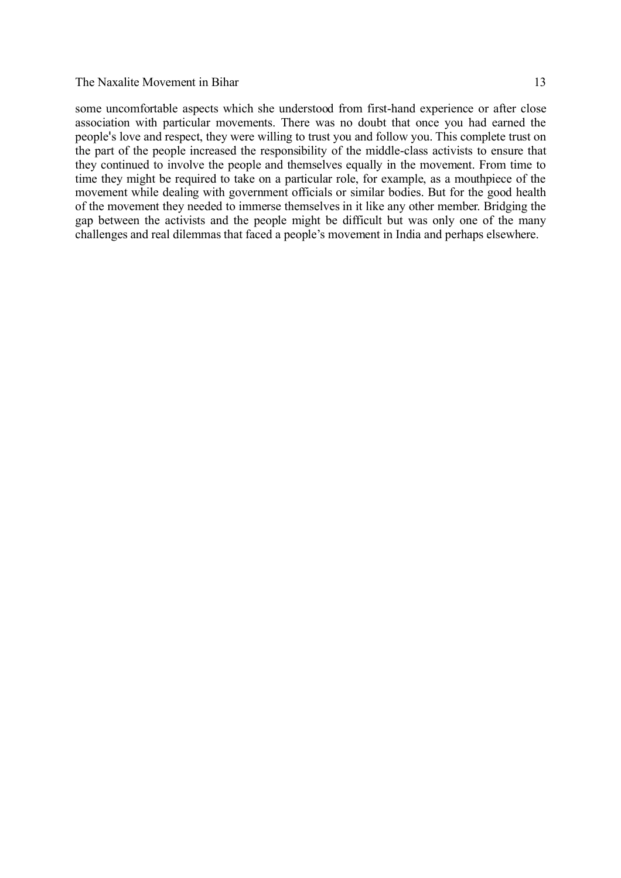some uncomfortable aspects which she understood from first-hand experience or after close association with particular movements. There was no doubt that once you had earned the people's love and respect, they were willing to trust you and follow you. This complete trust on the part of the people increased the responsibility of the middle-class activists to ensure that they continued to involve the people and themselves equally in the movement. From time to

time they might be required to take on a particular role, for example, as a mouthpiece of the movement while dealing with government officials or similar bodies. But for the good health of the movement they needed to immerse themselves in it like any other member. Bridging the gap between the activists and the people might be difficult but was only one of the many challenges and real dilemmas that faced a people's movement in India and perhaps elsewhere.